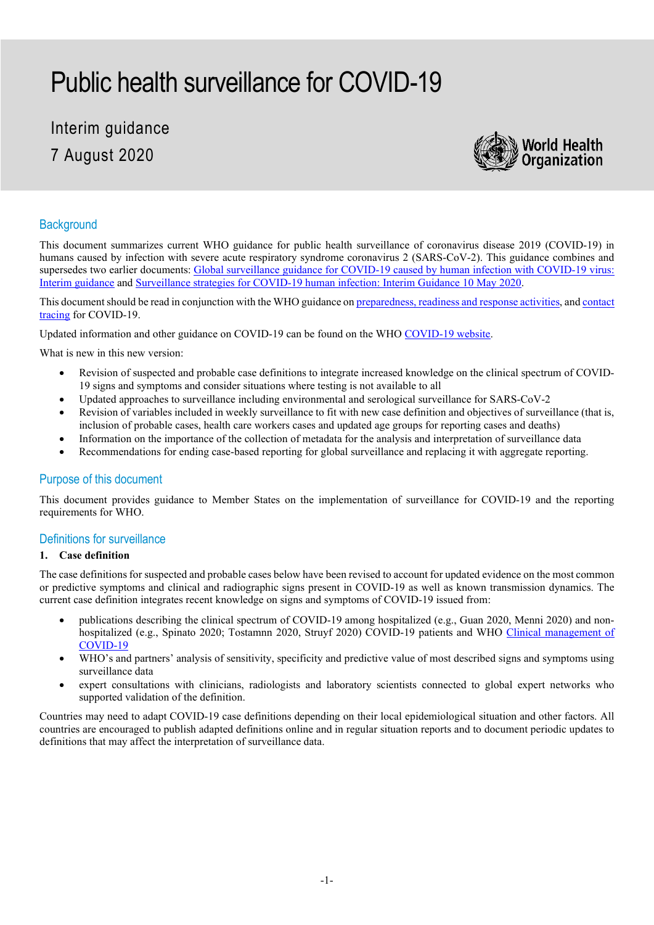# Public health surveillance for COVID-19

# Interim guidance 7 August 2020



### **Background**

This document summarizes current WHO guidance for public health surveillance of coronavirus disease 2019 (COVID-19) in humans caused by infection with severe acute respiratory syndrome coronavirus 2 (SARS-CoV-2). This guidance combines and supersedes two earlier documents: Global surveillance guidance for COVID-19 caused by human infection with COVID-19 virus: [Interim guidance](https://www.who.int/publications/i/item/global-surveillance-for-covid-19-caused-by-human-infection-with-covid-19-virus-interim-guidance) an[d Surveillance strategies for COVID-19 human infection: Interim Guidance 10 May 2020.](https://www.who.int/publications/i/item/surveillance-strategies-for-covid-19-human-infection)

This document should be read in conjunction with the WHO guidance o[n preparedness, readiness and response activities,](https://www.who.int/publications-detail/critical-preparedness-readiness-and-response-actions-for-covid-19) an[d contact](https://www.who.int/publications/i/item/contact-tracing-in-the-context-of-covid-19)  [tracing](https://www.who.int/publications/i/item/contact-tracing-in-the-context-of-covid-19) for COVID-19.

Updated information and other guidance on COVID-19 can be found on the WHO COVID-19 website.

What is new in this new version:

- Revision of suspected and probable case definitions to integrate increased knowledge on the clinical spectrum of COVID-19 signs and symptoms and consider situations where testing is not available to all
- Updated approaches to surveillance including environmental and serological surveillance for SARS-CoV-2
- Revision of variables included in weekly surveillance to fit with new case definition and objectives of surveillance (that is, inclusion of probable cases, health care workers cases and updated age groups for reporting cases and deaths)
- Information on the importance of the collection of metadata for the analysis and interpretation of surveillance data
- Recommendations for ending case-based reporting for global surveillance and replacing it with aggregate reporting.

#### Purpose of this document

This document provides guidance to Member States on the implementation of surveillance for COVID-19 and the reporting requirements for WHO.

#### Definitions for surveillance

#### **1. Case definition**

The case definitions for suspected and probable cases below have been revised to account for updated evidence on the most common or predictive symptoms and clinical and radiographic signs present in COVID-19 as well as known transmission dynamics. The current case definition integrates recent knowledge on signs and symptoms of COVID-19 issued from:

- publications describing the clinical spectrum of COVID-19 among hospitalized (e.g., Guan 2020, Menni 2020) and nonhospitalized (e.g., Spinato 2020; Tostamnn 2020, Struyf 2020) COVID-19 patients and WHO [Clinical management of](https://www.who.int/publications/i/item/clinical-management-of-covid-19)  [COVID-19](https://www.who.int/publications/i/item/clinical-management-of-covid-19)
- WHO's and partners' analysis of sensitivity, specificity and predictive value of most described signs and symptoms using surveillance data
- expert consultations with clinicians, radiologists and laboratory scientists connected to global expert networks who supported validation of the definition.

Countries may need to adapt COVID-19 case definitions depending on their local epidemiological situation and other factors. All countries are encouraged to publish adapted definitions online and in regular situation reports and to document periodic updates to definitions that may affect the interpretation of surveillance data.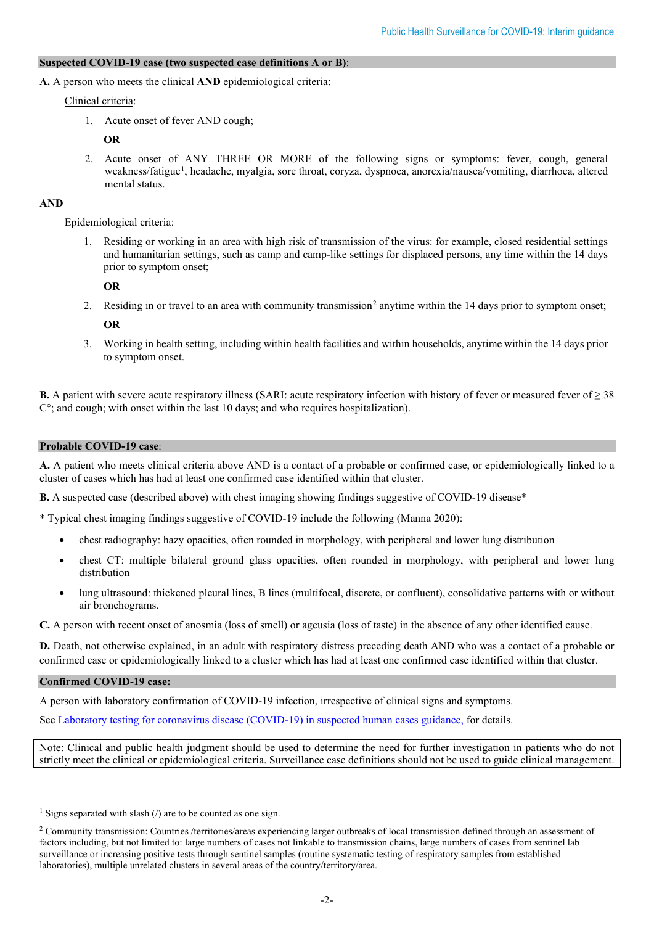#### **Suspected COVID-19 case (two suspected case definitions A or B)**:

**A.** A person who meets the clinical **AND** epidemiological criteria:

Clinical criteria:

1. Acute onset of fever AND cough;

**OR**

2. Acute onset of ANY THREE OR MORE of the following signs or symptoms: fever, cough, general weakness/fatigue[1](#page-1-0) , headache, myalgia, sore throat, coryza, dyspnoea, anorexia/nausea/vomiting, diarrhoea, altered mental status.

#### **AND**

#### Epidemiological criteria:

1. Residing or working in an area with high risk of transmission of the virus: for example, closed residential settings and humanitarian settings, such as camp and camp-like settings for displaced persons, any time within the 14 days prior to symptom onset;

**OR**

[2](#page-1-1). Residing in or travel to an area with community transmission<sup>2</sup> anytime within the 14 days prior to symptom onset;

**OR**

3. Working in health setting, including within health facilities and within households, anytime within the 14 days prior to symptom onset.

**B.** A patient with severe acute respiratory illness (SARI: acute respiratory infection with history of fever or measured fever of ≥ 38 C°; and cough; with onset within the last 10 days; and who requires hospitalization).

#### **Probable COVID-19 case**:

**A.** A patient who meets clinical criteria above AND is a contact of a probable or confirmed case, or epidemiologically linked to a cluster of cases which has had at least one confirmed case identified within that cluster.

**B.** A suspected case (described above) with chest imaging showing findings suggestive of COVID-19 disease\*

\* Typical chest imaging findings suggestive of COVID-19 include the following (Manna 2020):

- chest radiography: hazy opacities, often rounded in morphology, with peripheral and lower lung distribution
- chest CT: multiple bilateral ground glass opacities, often rounded in morphology, with peripheral and lower lung distribution
- lung ultrasound: thickened pleural lines, B lines (multifocal, discrete, or confluent), consolidative patterns with or without air bronchograms.

**C.** A person with recent onset of anosmia (loss of smell) or ageusia (loss of taste) in the absence of any other identified cause.

**D.** Death, not otherwise explained, in an adult with respiratory distress preceding death AND who was a contact of a probable or confirmed case or epidemiologically linked to a cluster which has had at least one confirmed case identified within that cluster.

#### **Confirmed COVID-19 case:**

A person with laboratory confirmation of COVID-19 infection, irrespective of clinical signs and symptoms.

See [Laboratory testing for coronavirus disease \(COVID-19\) in suspected human cases guidance,](https://www.who.int/publications/i/item/10665-331501) for details.

Note: Clinical and public health judgment should be used to determine the need for further investigation in patients who do not strictly meet the clinical or epidemiological criteria. Surveillance case definitions should not be used to guide clinical management.

<span id="page-1-0"></span><sup>&</sup>lt;sup>1</sup> Signs separated with slash  $\theta$  are to be counted as one sign.

<span id="page-1-1"></span><sup>2</sup> Community transmission: Countries /territories/areas experiencing larger outbreaks of local transmission defined through an assessment of factors including, but not limited to: large numbers of cases not linkable to transmission chains, large numbers of cases from sentinel lab surveillance or increasing positive tests through sentinel samples (routine systematic testing of respiratory samples from established laboratories), multiple unrelated clusters in several areas of the country/territory/area.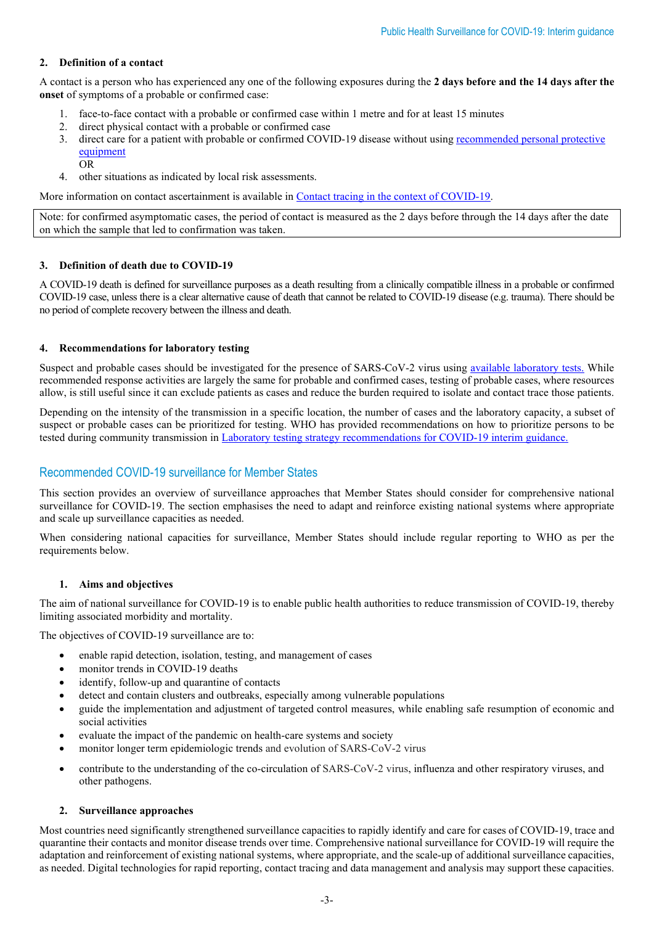#### **2. Definition of a contact**

A contact is a person who has experienced any one of the following exposures during the **2 days before and the 14 days after the onset** of symptoms of a probable or confirmed case:

- face-to-face contact with a probable or confirmed case within 1 metre and for at least 15 minutes
- 2. direct physical contact with a probable or confirmed case
- 3. direct care for a patient with probable or confirmed COVID-19 disease without usin[g recommended personal protective](https://www.who.int/publications/i/item/10665-331495)  [equipment](https://www.who.int/publications/i/item/10665-331495)

OR

4. other situations as indicated by local risk assessments.

More information on contact ascertainment is available in [Contact tracing in the context of COVID-19.](https://www.who.int/emergencies/diseases/novel-coronavirus-2019/technical-guidance-publications?publicationtypes=df113943-c6f4-42a5-914f-0a0736769008)

Note: for confirmed asymptomatic cases, the period of contact is measured as the 2 days before through the 14 days after the date on which the sample that led to confirmation was taken.

#### **3. Definition of death due to COVID-19**

A COVID-19 death is defined for surveillance purposes as a death resulting from a clinically compatible illness in a probable or confirmed COVID-19 case, unless there is a clear alternative cause of death that cannot be related to COVID-19 disease (e.g. trauma). There should be no period of complete recovery between the illness and death.

#### **4. Recommendations for laboratory testing**

Suspect and probable cases should be investigated for the presence of SARS-CoV-2 virus using [available laboratory](https://www.who.int/publications-detail/laboratory-testing-for-2019-novel-coronavirus-in-suspected-human-cases-20200117) tests. While recommended response activities are largely the same for probable and confirmed cases, testing of probable cases, where resources allow, is still useful since it can exclude patients as cases and reduce the burden required to isolate and contact trace those patients.

Depending on the intensity of the transmission in a specific location, the number of cases and the laboratory capacity, a subset of suspect or probable cases can be prioritized for testing. WHO has provided recommendations on how to prioritize persons to be tested during community transmission in [Laboratory testing strategy recommendations for COVID-19 interim guidance.](https://www.who.int/publications/i/item/laboratory-testing-strategy-recommendations-for-covid-19-interim-guidance)

## Recommended COVID-19 surveillance for Member States

This section provides an overview of surveillance approaches that Member States should consider for comprehensive national surveillance for COVID-19. The section emphasises the need to adapt and reinforce existing national systems where appropriate and scale up surveillance capacities as needed.

When considering national capacities for surveillance, Member States should include regular reporting to WHO as per the requirements below.

#### **1. Aims and objectives**

The aim of national surveillance for COVID-19 is to enable public health authorities to reduce transmission of COVID-19, thereby limiting associated morbidity and mortality.

The objectives of COVID-19 surveillance are to:

- enable rapid detection, isolation, testing, and management of cases
- monitor trends in COVID-19 deaths
- identify, follow-up and quarantine of contacts
- detect and contain clusters and outbreaks, especially among vulnerable populations
- guide the implementation and adjustment of targeted control measures, while enabling safe resumption of economic and social activities
- evaluate the impact of the pandemic on health-care systems and society
- monitor longer term epidemiologic trends and evolution of SARS-CoV-2 virus
- contribute to the understanding of the co-circulation of SARS-CoV-2 virus, influenza and other respiratory viruses, and other pathogens.

#### **2. Surveillance approaches**

Most countries need significantly strengthened surveillance capacities to rapidly identify and care for cases of COVID-19, trace and quarantine their contacts and monitor disease trends over time. Comprehensive national surveillance for COVID-19 will require the adaptation and reinforcement of existing national systems, where appropriate, and the scale-up of additional surveillance capacities, as needed. Digital technologies for rapid reporting, contact tracing and data management and analysis may support these capacities.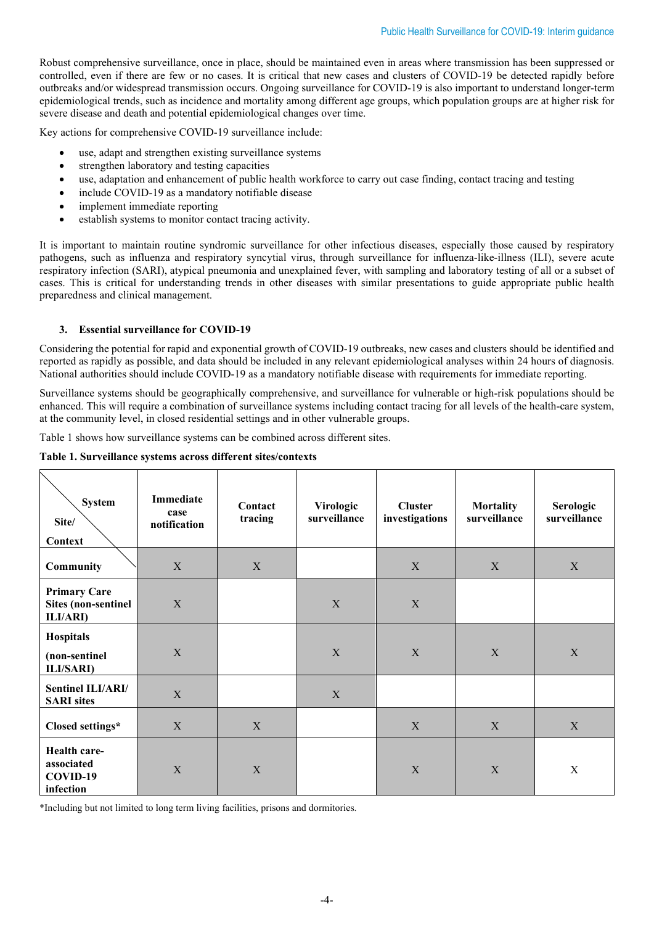Robust comprehensive surveillance, once in place, should be maintained even in areas where transmission has been suppressed or controlled, even if there are few or no cases. It is critical that new cases and clusters of COVID-19 be detected rapidly before outbreaks and/or widespread transmission occurs. Ongoing surveillance for COVID-19 is also important to understand longer-term epidemiological trends, such as incidence and mortality among different age groups, which population groups are at higher risk for severe disease and death and potential epidemiological changes over time.

Key actions for comprehensive COVID-19 surveillance include:

- use, adapt and strengthen existing surveillance systems
- strengthen laboratory and testing capacities
- use, adaptation and enhancement of public health workforce to carry out case finding, contact tracing and testing
- include COVID-19 as a mandatory notifiable disease
- implement immediate reporting
- establish systems to monitor contact tracing activity.

It is important to maintain routine syndromic surveillance for other infectious diseases, especially those caused by respiratory pathogens, such as influenza and respiratory syncytial virus, through surveillance for influenza-like-illness (ILI), severe acute respiratory infection (SARI), atypical pneumonia and unexplained fever, with sampling and laboratory testing of all or a subset of cases. This is critical for understanding trends in other diseases with similar presentations to guide appropriate public health preparedness and clinical management.

#### **3. Essential surveillance for COVID-19**

Considering the potential for rapid and exponential growth of COVID-19 outbreaks, new cases and clusters should be identified and reported as rapidly as possible, and data should be included in any relevant epidemiological analyses within 24 hours of diagnosis. National authorities should include COVID-19 as a mandatory notifiable disease with requirements for immediate reporting.

Surveillance systems should be geographically comprehensive, and surveillance for vulnerable or high-risk populations should be enhanced. This will require a combination of surveillance systems including contact tracing for all levels of the health-care system, at the community level, in closed residential settings and in other vulnerable groups.

Table 1 shows how surveillance systems can be combined across different sites.

#### **Table 1. Surveillance systems across different sites/contexts**

| <b>System</b><br>Site/<br>Context                              | Immediate<br>case<br>notification | Contact<br>tracing | Virologic<br>surveillance | <b>Cluster</b><br>investigations | <b>Mortality</b><br>surveillance | Serologic<br>surveillance |
|----------------------------------------------------------------|-----------------------------------|--------------------|---------------------------|----------------------------------|----------------------------------|---------------------------|
| <b>Community</b>                                               | $\mathbf X$                       | X                  |                           | X                                | X                                | $\boldsymbol{\mathrm{X}}$ |
| <b>Primary Care</b><br><b>Sites (non-sentinel)</b><br>ILI/ARI) | X                                 |                    | X                         | X                                |                                  |                           |
| Hospitals<br>(non-sentinel<br><b>ILI/SARI</b> )                | $\mathbf X$                       |                    | X                         | X                                | X                                | $\mathbf X$               |
| Sentinel ILI/ARI/<br><b>SARI</b> sites                         | $\mathbf X$                       |                    | X                         |                                  |                                  |                           |
| Closed settings*                                               | $\mathbf X$                       | $\mathbf X$        |                           | $\mathbf X$                      | $\mathbf X$                      | X                         |
| Health care-<br>associated<br>COVID-19<br>infection            | X                                 | $\mathbf X$        |                           | $\mathbf X$                      | $\mathbf X$                      | X                         |

\*Including but not limited to long term living facilities, prisons and dormitories.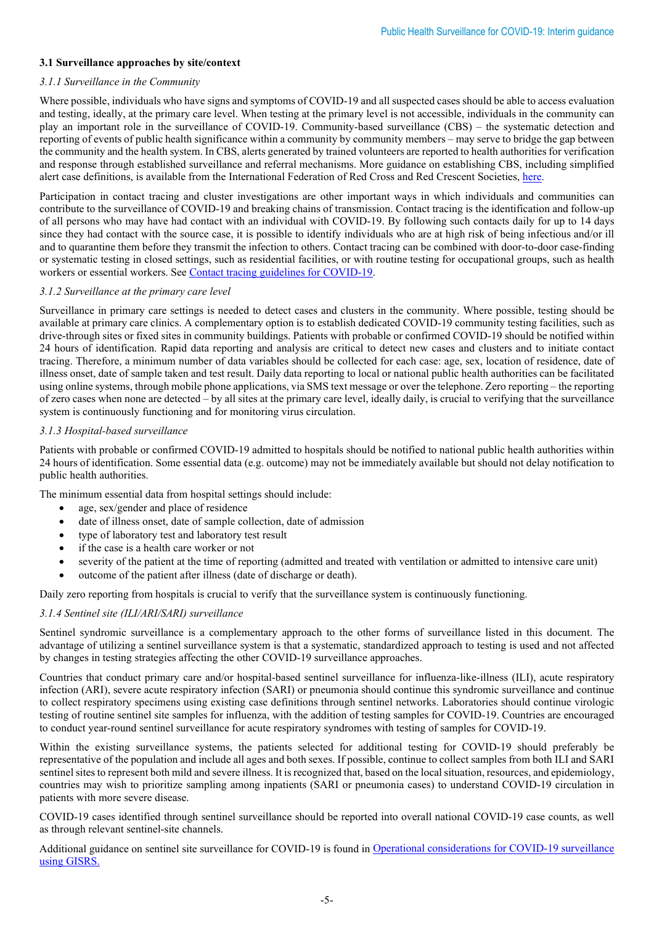#### **3.1 Surveillance approaches by site/context**

#### *3.1.1 Surveillance in the Community*

Where possible, individuals who have signs and symptoms of COVID-19 and all suspected cases should be able to access evaluation and testing, ideally, at the primary care level. When testing at the primary level is not accessible, individuals in the community can play an important role in the surveillance of COVID-19. Community-based surveillance (CBS) – the systematic detection and reporting of events of public health significance within a community by community members – may serve to bridge the gap between the community and the health system. In CBS, alerts generated by trained volunteers are reported to health authorities for verification and response through established surveillance and referral mechanisms. More guidance on establishing CBS, including simplified alert case definitions, is available from the International Federation of Red Cross and Red Crescent Societies, [here.](https://www.cbsrc.org/resources)

Participation in contact tracing and cluster investigations are other important ways in which individuals and communities can contribute to the surveillance of COVID-19 and breaking chains of transmission. Contact tracing is the identification and follow-up of all persons who may have had contact with an individual with COVID-19. By following such contacts daily for up to 14 days since they had contact with the source case, it is possible to identify individuals who are at high risk of being infectious and/or ill and to quarantine them before they transmit the infection to others. Contact tracing can be combined with door-to-door case-finding or systematic testing in closed settings, such as residential facilities, or with routine testing for occupational groups, such as health workers or essential workers. See [Contact tracing guidelines for COVID-19.](https://www.who.int/emergencies/diseases/novel-coronavirus-2019/technical-guidance-publications?publicationtypes=df113943-c6f4-42a5-914f-0a0736769008)

#### *3.1.2 Surveillance at the primary care level*

Surveillance in primary care settings is needed to detect cases and clusters in the community. Where possible, testing should be available at primary care clinics. A complementary option is to establish dedicated COVID-19 community testing facilities, such as drive-through sites or fixed sites in community buildings. Patients with probable or confirmed COVID-19 should be notified within 24 hours of identification. Rapid data reporting and analysis are critical to detect new cases and clusters and to initiate contact tracing. Therefore, a minimum number of data variables should be collected for each case: age, sex, location of residence, date of illness onset, date of sample taken and test result. Daily data reporting to local or national public health authorities can be facilitated using online systems, through mobile phone applications, via SMS text message or over the telephone. Zero reporting – the reporting of zero cases when none are detected – by all sites at the primary care level, ideally daily, is crucial to verifying that the surveillance system is continuously functioning and for monitoring virus circulation.

#### *3.1.3 Hospital-based surveillance*

Patients with probable or confirmed COVID-19 admitted to hospitals should be notified to national public health authorities within 24 hours of identification. Some essential data (e.g. outcome) may not be immediately available but should not delay notification to public health authorities.

The minimum essential data from hospital settings should include:

- age, sex/gender and place of residence
- date of illness onset, date of sample collection, date of admission
- type of laboratory test and laboratory test result
- if the case is a health care worker or not
- severity of the patient at the time of reporting (admitted and treated with ventilation or admitted to intensive care unit)
- outcome of the patient after illness (date of discharge or death).

Daily zero reporting from hospitals is crucial to verify that the surveillance system is continuously functioning.

#### *3.1.4 Sentinel site (ILI/ARI/SARI) surveillance*

Sentinel syndromic surveillance is a complementary approach to the other forms of surveillance listed in this document. The advantage of utilizing a sentinel surveillance system is that a systematic, standardized approach to testing is used and not affected by changes in testing strategies affecting the other COVID-19 surveillance approaches.

Countries that conduct primary care and/or hospital-based sentinel surveillance for influenza-like-illness (ILI), acute respiratory infection (ARI), severe acute respiratory infection (SARI) or pneumonia should continue this syndromic surveillance and continue to collect respiratory specimens using existing case definitions through sentinel networks. Laboratories should continue virologic testing of routine sentinel site samples for influenza, with the addition of testing samples for COVID-19. Countries are encouraged to conduct year-round sentinel surveillance for acute respiratory syndromes with testing of samples for COVID-19.

Within the existing surveillance systems, the patients selected for additional testing for COVID-19 should preferably be representative of the population and include all ages and both sexes. If possible, continue to collect samples from both ILI and SARI sentinel sites to represent both mild and severe illness. It is recognized that, based on the local situation, resources, and epidemiology, countries may wish to prioritize sampling among inpatients (SARI or pneumonia cases) to understand COVID-19 circulation in patients with more severe disease.

COVID-19 cases identified through sentinel surveillance should be reported into overall national COVID-19 case counts, as well as through relevant sentinel-site channels.

Additional guidance on sentinel site surveillance for COVID-19 is found in [Operational considerations for COVID-19 surveillance](https://www.who.int/publications-detail/operational-considerations-for-covid-19-surveillance-using-gisrs-interim-guidance)  [using GISRS.](https://www.who.int/publications-detail/operational-considerations-for-covid-19-surveillance-using-gisrs-interim-guidance)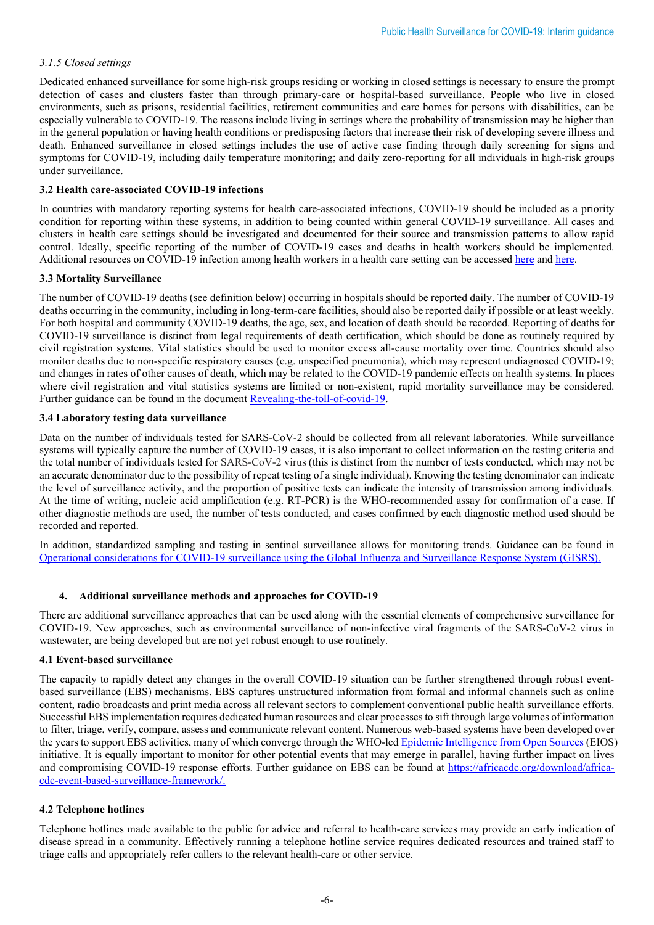#### *3.1.5 Closed settings*

Dedicated enhanced surveillance for some high-risk groups residing or working in closed settings is necessary to ensure the prompt detection of cases and clusters faster than through primary-care or hospital-based surveillance. People who live in closed environments, such as prisons, residential facilities, retirement communities and care homes for persons with disabilities, can be especially vulnerable to COVID-19. The reasons include living in settings where the probability of transmission may be higher than in the general population or having health conditions or predisposing factors that increase their risk of developing severe illness and death. Enhanced surveillance in closed settings includes the use of active case finding through daily screening for signs and symptoms for COVID-19, including daily temperature monitoring; and daily zero-reporting for all individuals in high-risk groups under surveillance.

#### **3.2 Health care-associated COVID-19 infections**

In countries with mandatory reporting systems for health care-associated infections, COVID-19 should be included as a priority condition for reporting within these systems, in addition to being counted within general COVID-19 surveillance. All cases and clusters in health care settings should be investigated and documented for their source and transmission patterns to allow rapid control. Ideally, specific reporting of the number of COVID-19 cases and deaths in health workers should be implemented. Additional resources on COVID-19 infection among health workers in a health care setting can be accessed [here](https://www.who.int/publications/i/item/WHO-2019-nCoV-HCW_Surveillance_Protocol-2020.1) and [here.](https://www.who.int/emergencies/diseases/novel-coronavirus-2019/technical-guidance/early-investigations)

#### **3.3 Mortality Surveillance**

The number of COVID-19 deaths (see definition below) occurring in hospitals should be reported daily. The number of COVID-19 deaths occurring in the community, including in long-term-care facilities, should also be reported daily if possible or at least weekly. For both hospital and community COVID-19 deaths, the age, sex, and location of death should be recorded. Reporting of deaths for COVID-19 surveillance is distinct from legal requirements of death certification, which should be done as routinely required by civil registration systems. Vital statistics should be used to monitor excess all-cause mortality over time. Countries should also monitor deaths due to non-specific respiratory causes (e.g. unspecified pneumonia), which may represent undiagnosed COVID-19; and changes in rates of other causes of death, which may be related to the COVID-19 pandemic effects on health systems. In places where civil registration and vital statistics systems are limited or non-existent, rapid mortality surveillance may be considered. Further guidance can be found in the documen[t Revealing-the-toll-of-covid-19.](https://www.who.int/publications/i/item/revealing-the-toll-of-covid-19)

#### **3.4 Laboratory testing data surveillance**

Data on the number of individuals tested for SARS-CoV-2 should be collected from all relevant laboratories. While surveillance systems will typically capture the number of COVID-19 cases, it is also important to collect information on the testing criteria and the total number of individuals tested for SARS-CoV-2 virus (this is distinct from the number of tests conducted, which may not be an accurate denominator due to the possibility of repeat testing of a single individual). Knowing the testing denominator can indicate the level of surveillance activity, and the proportion of positive tests can indicate the intensity of transmission among individuals. At the time of writing, nucleic acid amplification (e.g. RT-PCR) is the WHO-recommended assay for confirmation of a case. If other diagnostic methods are used, the number of tests conducted, and cases confirmed by each diagnostic method used should be recorded and reported.

In addition, standardized sampling and testing in sentinel surveillance allows for monitoring trends. Guidance can be found in [Operational considerations for COVID-19 surveillance using the Global Influenza and Surveillance Response System \(GISRS\).](https://www.who.int/publications/i/item/operational-considerations-for-covid-19-surveillance-using-gisrs-interim-guidance)

#### **4. Additional surveillance methods and approaches for COVID-19**

There are additional surveillance approaches that can be used along with the essential elements of comprehensive surveillance for COVID-19. New approaches, such as environmental surveillance of non-infective viral fragments of the SARS-CoV-2 virus in wastewater, are being developed but are not yet robust enough to use routinely.

#### **4.1 Event-based surveillance**

The capacity to rapidly detect any changes in the overall COVID-19 situation can be further strengthened through robust eventbased surveillance (EBS) mechanisms. EBS captures unstructured information from formal and informal channels such as online content, radio broadcasts and print media across all relevant sectors to complement conventional public health surveillance efforts. Successful EBS implementation requires dedicated human resources and clear processes to sift through large volumes of information to filter, triage, verify, compare, assess and communicate relevant content. Numerous web-based systems have been developed over the years to support EBS activities, many of which converge through the WHO-le[d Epidemic Intelligence from Open Sources](https://www.who.int/eios) (EIOS) initiative. It is equally important to monitor for other potential events that may emerge in parallel, having further impact on lives and compromising COVID-19 response efforts. Further guidance on EBS can be found at [https://africacdc.org/download/africa](https://africacdc.org/download/africa-cdc-event-based-surveillance-framework/)[cdc-event-based-surveillance-framework/.](https://africacdc.org/download/africa-cdc-event-based-surveillance-framework/)

#### **4.2 Telephone hotlines**

Telephone hotlines made available to the public for advice and referral to health-care services may provide an early indication of disease spread in a community. Effectively running a telephone hotline service requires dedicated resources and trained staff to triage calls and appropriately refer callers to the relevant health-care or other service.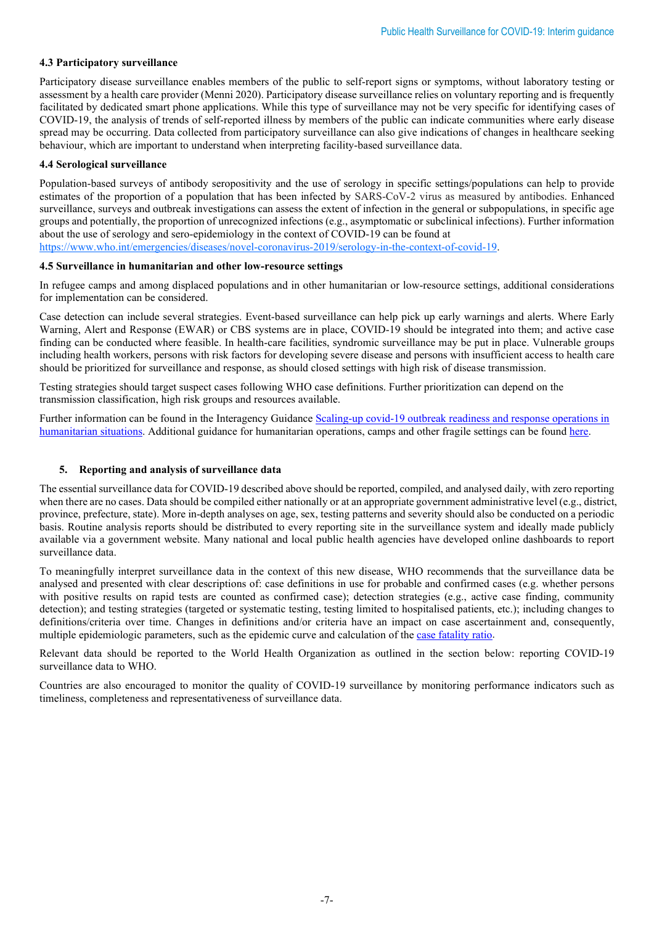#### **4.3 Participatory surveillance**

Participatory disease surveillance enables members of the public to self-report signs or symptoms, without laboratory testing or assessment by a health care provider (Menni 2020). Participatory disease surveillance relies on voluntary reporting and is frequently facilitated by dedicated smart phone applications. While this type of surveillance may not be very specific for identifying cases of COVID-19, the analysis of trends of self-reported illness by members of the public can indicate communities where early disease spread may be occurring. Data collected from participatory surveillance can also give indications of changes in healthcare seeking behaviour, which are important to understand when interpreting facility-based surveillance data.

#### **4.4 Serological surveillance**

Population-based surveys of antibody seropositivity and the use of serology in specific settings/populations can help to provide estimates of the proportion of a population that has been infected by SARS-CoV-2 virus as measured by antibodies. Enhanced surveillance, surveys and outbreak investigations can assess the extent of infection in the general or subpopulations, in specific age groups and potentially, the proportion of unrecognized infections (e.g., asymptomatic or subclinical infections). Further information about the use of serology and sero-epidemiology in the context of COVID-19 can be found at

[https://www.who.int/emergencies/diseases/novel-coronavirus-2019/serology-in-the-context-of-covid-19.](https://www.who.int/emergencies/diseases/novel-coronavirus-2019/serology-in-the-context-of-covid-19)

#### **4.5 Surveillance in humanitarian and other low-resource settings**

In refugee camps and among displaced populations and in other humanitarian or low-resource settings, additional considerations for implementation can be considered.

Case detection can include several strategies. Event-based surveillance can help pick up early warnings and alerts. Where Early Warning, Alert and Response (EWAR) or CBS systems are in place, COVID-19 should be integrated into them; and active case finding can be conducted where feasible. In health-care facilities, syndromic surveillance may be put in place. Vulnerable groups including health workers, persons with risk factors for developing severe disease and persons with insufficient access to health care should be prioritized for surveillance and response, as should closed settings with high risk of disease transmission.

Testing strategies should target suspect cases following WHO case definitions. Further prioritization can depend on the transmission classification, high risk groups and resources available.

Further information can be found in the Interagency Guidance [Scaling-up covid-19 outbreak readiness and response operations in](https://interagencystandingcommittee.org/system/files/2020-04/IASC%20Interim%20Guidance%20on%20COVID-19%20for%20Outbreak%20Readiness%20and%20Response%20Operations%20-%20Camps%20and%20Camp-like%20Settings.pdf)  [humanitarian situations.](https://interagencystandingcommittee.org/system/files/2020-04/IASC%20Interim%20Guidance%20on%20COVID-19%20for%20Outbreak%20Readiness%20and%20Response%20Operations%20-%20Camps%20and%20Camp-like%20Settings.pdf) Additional guidance for humanitarian operations, camps and other fragile settings can be foun[d here.](https://www.who.int/emergencies/diseases/novel-coronavirus-2019/technical-guidance/humanitarian-operations-camps-and-other-fragile-settings)

#### **5. Reporting and analysis of surveillance data**

The essential surveillance data for COVID-19 described above should be reported, compiled, and analysed daily, with zero reporting when there are no cases. Data should be compiled either nationally or at an appropriate government administrative level (e.g., district, province, prefecture, state). More in-depth analyses on age, sex, testing patterns and severity should also be conducted on a periodic basis. Routine analysis reports should be distributed to every reporting site in the surveillance system and ideally made publicly available via a government website. Many national and local public health agencies have developed online dashboards to report surveillance data.

To meaningfully interpret surveillance data in the context of this new disease, WHO recommends that the surveillance data be analysed and presented with clear descriptions of: case definitions in use for probable and confirmed cases (e.g. whether persons with positive results on rapid tests are counted as confirmed case); detection strategies (e.g., active case finding, community detection); and testing strategies (targeted or systematic testing, testing limited to hospitalised patients, etc.); including changes to definitions/criteria over time. Changes in definitions and/or criteria have an impact on case ascertainment and, consequently, multiple epidemiologic parameters, such as the epidemic curve and calculation of th[e case fatality ratio.](https://apps.who.int/iris/rest/bitstreams/1289940/retrieve) 

Relevant data should be reported to the World Health Organization as outlined in the section below: reporting COVID-19 surveillance data to WHO.

Countries are also encouraged to monitor the quality of COVID-19 surveillance by monitoring performance indicators such as timeliness, completeness and representativeness of surveillance data.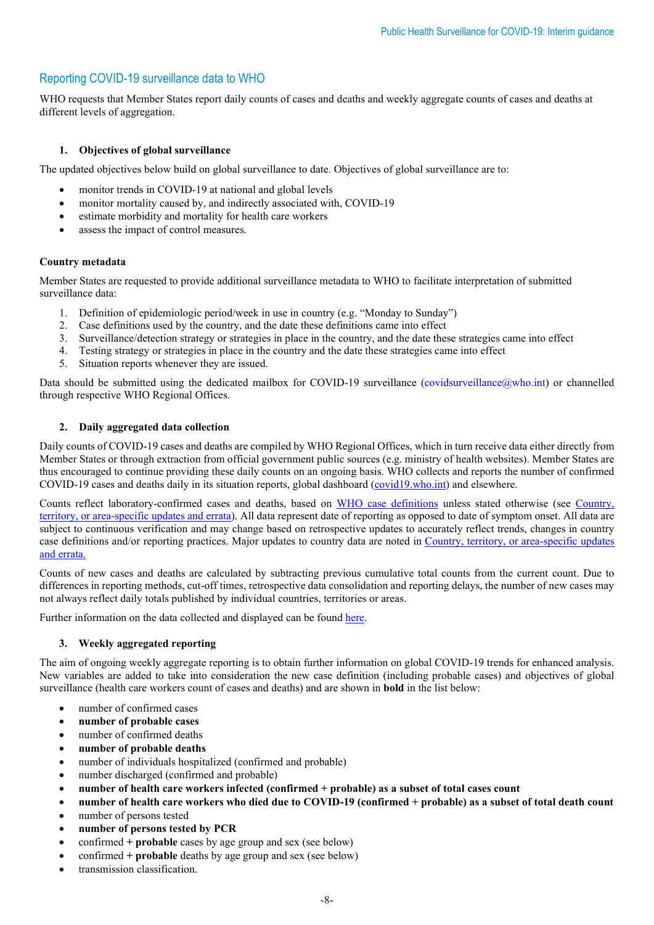# Reporting COVID-19 surveillance data to WHO

WHO requests that Member States report daily counts of cases and deaths and weekly aggregate counts of cases and deaths at different levels of aggregation.

#### **1. Objectives of global surveillance**

The updated objectives below build on global surveillance to date. Objectives of global surveillance are to:

- monitor trends in COVID-19 at national and global levels
- monitor mortality caused by, and indirectly associated with, COVID-19
- estimate morbidity and mortality for health care workers
- assess the impact of control measures.

#### **Country metadata**

Member States are requested to provide additional surveillance metadata to WHO to facilitate interpretation of submitted surveillance data:

- 1. Definition of epidemiologic period/week in use in country (e.g. "Monday to Sunday")
- 2. Case definitions used by the country, and the date these definitions came into effect
- 3. Surveillance/detection strategy or strategies in place in the country, and the date these strategies came into effect
- 4. Testing strategy or strategies in place in the country and the date these strategies came into effect
- 5. Situation reports whenever they are issued.

Data should be submitted using the dedicated mailbox for COVID-19 surveillance [\(covidsurveillance@who.int\)](mailto:covidsurveillance@who.int) or channelled through respective WHO Regional Offices.

#### **2. Daily aggregated data collection**

Daily counts of COVID-19 cases and deaths are compiled by WHO Regional Offices, which in turn receive data either directly from Member States or through extraction from official government public sources (e.g. ministry of health websites). Member States are thus encouraged to continue providing these daily counts on an ongoing basis. WHO collects and reports the number of confirmed COVID-19 cases and deaths daily in its situation reports, global dashboard [\(covid19.who.int\)](https://covid19.who.int/info/) and elsewhere.

Counts reflect laboratory-confirmed cases and deaths, based on [WHO case definitions](https://www.who.int/publications-detail/global-surveillance-for-human-infection-with-novel-coronavirus-(2019-ncov)) unless stated otherwise (see [Country,](https://www.who.int/who-documents-detail/log-of-major-changes-and-errata-in-who-daily-aggregate-case-and-death-count-data)  [territory, or area-specific updates and errata\)](https://www.who.int/who-documents-detail/log-of-major-changes-and-errata-in-who-daily-aggregate-case-and-death-count-data). All data represent date of reporting as opposed to date of symptom onset. All data are subject to continuous verification and may change based on retrospective updates to accurately reflect trends, changes in country case definitions and/or reporting practices. Major updates to country data are noted in [Country, territory, or area-specific updates](https://www.who.int/who-documents-detail/log-of-major-changes-and-errata-in-who-daily-aggregate-case-and-death-count-data)  [and errata.](https://www.who.int/who-documents-detail/log-of-major-changes-and-errata-in-who-daily-aggregate-case-and-death-count-data)

Counts of new cases and deaths are calculated by subtracting previous cumulative total counts from the current count. Due to differences in reporting methods, cut-off times, retrospective data consolidation and reporting delays, the number of new cases may not always reflect daily totals published by individual countries, territories or areas.

Further information on the data collected and displayed can be foun[d here.](https://covid19.who.int/info/)

#### **3. Weekly aggregated reporting**

The aim of ongoing weekly aggregate reporting is to obtain further information on global COVID-19 trends for enhanced analysis. New variables are added to take into consideration the new case definition (including probable cases) and objectives of global surveillance (health care workers count of cases and deaths) and are shown in **bold** in the list below:

- number of confirmed cases
- **number of probable cases**
- number of confirmed deaths
- **number of probable deaths**
- number of individuals hospitalized (confirmed and probable)
- number discharged (confirmed and probable)
- **number of health care workers infected (confirmed + probable) as a subset of total cases count**
- **number of health care workers who died due to COVID-19 (confirmed + probable) as a subset of total death count**
- number of persons tested
- **number of persons tested by PCR**
- confirmed **+ probable** cases by age group and sex (see below)
- confirmed **+ probable** deaths by age group and sex (see below)
- transmission classification.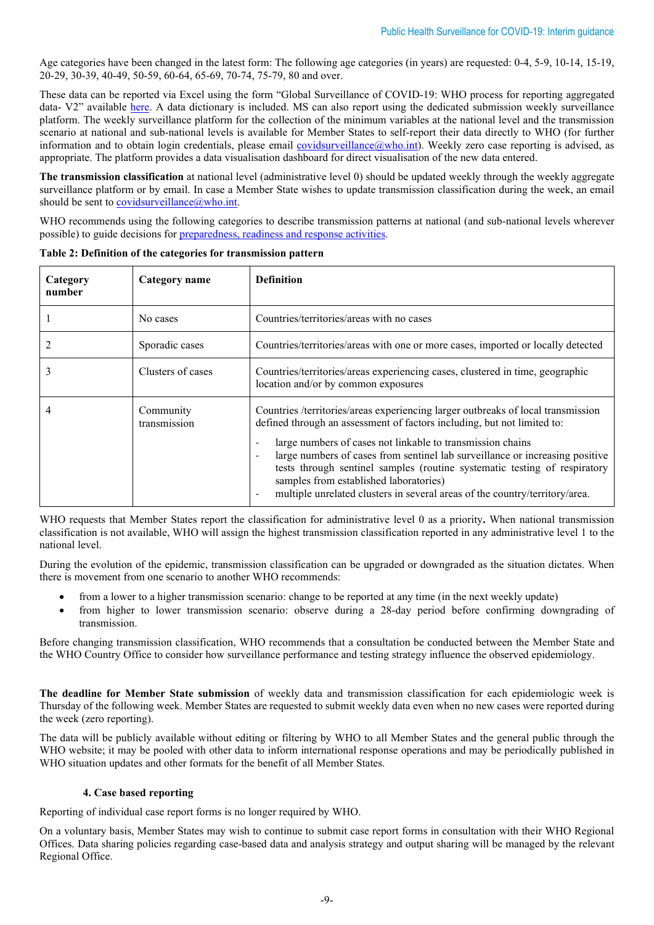Age categories have been changed in the latest form: The following age categories (in years) are requested: 0-4, 5-9, 10-14, 15-19, 20-29, 30-39, 40-49, 50-59, 60-64, 65-69, 70-74, 75-79, 80 and over.

These data can be reported via Excel using the form "Global Surveillance of COVID-19: WHO process for reporting aggregated data- V2" available [here.](https://www.who.int/emergencies/diseases/novel-coronavirus-2019/technical-guidance-publications?publicationtypes=df113943-c6f4-42a5-914f-0a0736769008) A data dictionary is included. MS can also report using the dedicated submission weekly surveillance platform. The weekly surveillance platform for the collection of the minimum variables at the national level and the transmission scenario at national and sub-national levels is available for Member States to self-report their data directly to WHO (for further information and to obtain login credentials, please email covidsurveillance  $(\omega$ who.int). Weekly zero case reporting is advised, as appropriate. The platform provides a data visualisation dashboard for direct visualisation of the new data entered.

**The transmission classification** at national level (administrative level 0) should be updated weekly through the weekly aggregate surveillance platform or by email. In case a Member State wishes to update transmission classification during the week, an email should be sent to [covidsurveillance@who.int.](mailto:covidsurveillance@who.int)

WHO recommends using the following categories to describe transmission patterns at national (and sub-national levels wherever possible) to guide decisions for [preparedness, readiness and response activities.](https://www.who.int/publications-detail/critical-preparedness-readiness-and-response-actions-for-covid-19)

| Category<br>number | Category name             | <b>Definition</b>                                                                                                                                                                                                                                                                                                                                                                                                                                                                                                                           |
|--------------------|---------------------------|---------------------------------------------------------------------------------------------------------------------------------------------------------------------------------------------------------------------------------------------------------------------------------------------------------------------------------------------------------------------------------------------------------------------------------------------------------------------------------------------------------------------------------------------|
|                    | No cases                  | Countries/territories/areas with no cases                                                                                                                                                                                                                                                                                                                                                                                                                                                                                                   |
|                    | Sporadic cases            | Countries/territories/areas with one or more cases, imported or locally detected                                                                                                                                                                                                                                                                                                                                                                                                                                                            |
|                    | Clusters of cases         | Countries/territories/areas experiencing cases, clustered in time, geographic<br>location and/or by common exposures                                                                                                                                                                                                                                                                                                                                                                                                                        |
|                    | Community<br>transmission | Countries /territories/areas experiencing larger outbreaks of local transmission<br>defined through an assessment of factors including, but not limited to:<br>large numbers of cases not linkable to transmission chains<br>$\overline{\phantom{a}}$<br>large numbers of cases from sentinel lab surveillance or increasing positive<br>tests through sentinel samples (routine systematic testing of respiratory<br>samples from established laboratories)<br>multiple unrelated clusters in several areas of the country/territory/area. |

**Table 2: Definition of the categories for transmission pattern**

WHO requests that Member States report the classification for administrative level 0 as a priority**.** When national transmission classification is not available, WHO will assign the highest transmission classification reported in any administrative level 1 to the national level.

During the evolution of the epidemic, transmission classification can be upgraded or downgraded as the situation dictates. When there is movement from one scenario to another WHO recommends:

- from a lower to a higher transmission scenario: change to be reported at any time (in the next weekly update)
- from higher to lower transmission scenario: observe during a 28-day period before confirming downgrading of transmission.

Before changing transmission classification, WHO recommends that a consultation be conducted between the Member State and the WHO Country Office to consider how surveillance performance and testing strategy influence the observed epidemiology.

**The deadline for Member State submission** of weekly data and transmission classification for each epidemiologic week is Thursday of the following week. Member States are requested to submit weekly data even when no new cases were reported during the week (zero reporting).

The data will be publicly available without editing or filtering by WHO to all Member States and the general public through the WHO website; it may be pooled with other data to inform international response operations and may be periodically published in WHO situation updates and other formats for the benefit of all Member States.

#### **4. Case based reporting**

Reporting of individual case report forms is no longer required by WHO.

On a voluntary basis, Member States may wish to continue to submit case report forms in consultation with their WHO Regional Offices. Data sharing policies regarding case-based data and analysis strategy and output sharing will be managed by the relevant Regional Office.